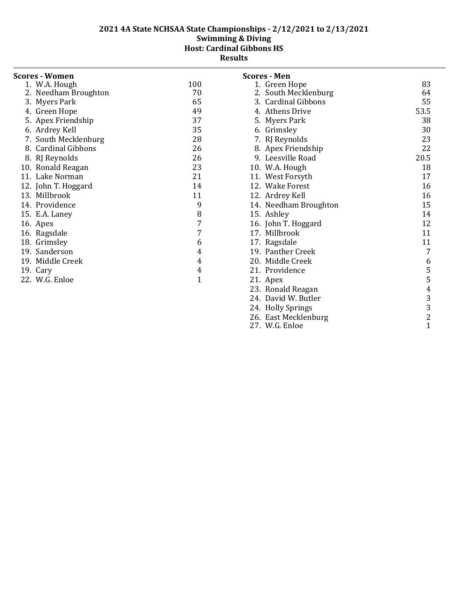| <b>Scores - Women</b>         |              | <b>Scores - Men</b>   |                |
|-------------------------------|--------------|-----------------------|----------------|
| 1. W.A. Hough                 | 100          | 1. Green Hope         | 83             |
| 2. Needham Broughton          | 70           | 2. South Mecklenburg  | 64             |
| 3. Myers Park                 | 65           | 3. Cardinal Gibbons   | 55             |
| 4. Green Hope                 | 49           | 4. Athens Drive       | 53.5           |
| 5. Apex Friendship            | 37           | 5. Myers Park         | 38             |
| 6. Ardrey Kell                | 35           | 6. Grimsley           | 30             |
| 7. South Mecklenburg          | 28           | 7. RJ Reynolds        | 23             |
| <b>Cardinal Gibbons</b><br>8. | 26           | 8. Apex Friendship    | 22             |
| 8. RJ Reynolds                | 26           | 9. Leesville Road     | 20.5           |
| 10. Ronald Reagan             | 23           | 10. W.A. Hough        | 18             |
| 11. Lake Norman               | 21           | 11. West Forsyth      | 17             |
| 12. John T. Hoggard           | 14           | 12. Wake Forest       | 16             |
| 13. Millbrook                 | 11           | 12. Ardrey Kell       | 16             |
| 14. Providence                | 9            | 14. Needham Broughton | 15             |
| 15. E.A. Laney                | 8            | 15. Ashley            | 14             |
| 16. Apex                      | 7            | 16. John T. Hoggard   | 12             |
| 16. Ragsdale                  | 7            | 17. Millbrook         | 11             |
| 18. Grimsley                  | 6            | 17. Ragsdale          | 11             |
| 19. Sanderson                 | 4            | 19. Panther Creek     | 7              |
| 19. Middle Creek              | 4            | 20. Middle Creek      | 6              |
| 19. Cary                      | 4            | 21. Providence        | 5              |
| 22. W.G. Enloe                | $\mathbf{1}$ | 21. Apex              | 5              |
|                               |              | 23. Ronald Reagan     | 4              |
|                               |              | 24. David W. Butler   | 3              |
|                               |              | 24. Holly Springs     | 3              |
|                               |              | 26. East Mecklenburg  | $\overline{c}$ |
|                               |              | 27. W.G. Enloe        | $\mathbf{1}$   |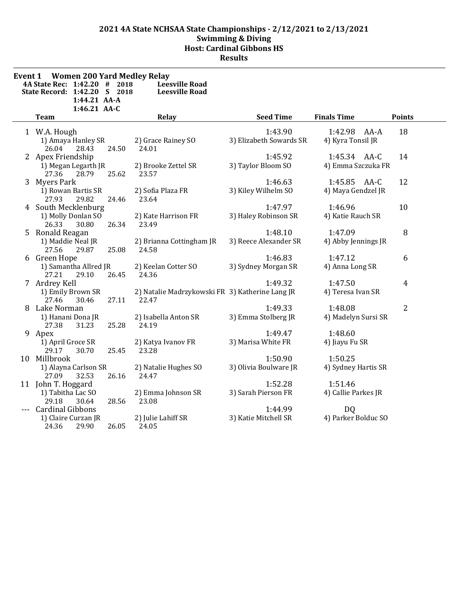| Event 1 | <b>Women 200 Yard Medley Relay</b><br>4A State Rec: 1:42.20 #<br>2018<br>State Record: 1:42.20 S 2018<br>1:44.21 AA-A<br>1:46.21 AA-C | <b>Leesville Road</b><br><b>Leesville Road</b>           |                                    |                                    |                |
|---------|---------------------------------------------------------------------------------------------------------------------------------------|----------------------------------------------------------|------------------------------------|------------------------------------|----------------|
|         | <b>Team</b>                                                                                                                           | Relay                                                    | <b>Seed Time</b>                   | <b>Finals Time</b>                 | <b>Points</b>  |
|         | 1 W.A. Hough<br>1) Amaya Hanley SR<br>26.04<br>28.43<br>24.50                                                                         | 2) Grace Rainey SO<br>24.01                              | 1:43.90<br>3) Elizabeth Sowards SR | 1:42.98 AA-A<br>4) Kyra Tonsil JR  | 18             |
|         | 2 Apex Friendship<br>1) Megan Legarth JR<br>27.36<br>28.79<br>25.62                                                                   | 2) Brooke Zettel SR<br>23.57                             | 1:45.92<br>3) Taylor Bloom SO      | 1:45.34 AA-C<br>4) Emma Szczuka FR | 14             |
|         | 3 Myers Park<br>1) Rowan Bartis SR<br>27.93<br>29.82<br>24.46                                                                         | 2) Sofia Plaza FR<br>23.64                               | 1:46.63<br>3) Kiley Wilhelm SO     | 1:45.85 AA-C<br>4) Maya Gendzel JR | 12             |
|         | 4 South Mecklenburg<br>1) Molly Donlan SO<br>26.34<br>26.33<br>30.80                                                                  | 2) Kate Harrison FR<br>23.49                             | 1:47.97<br>3) Haley Robinson SR    | 1:46.96<br>4) Katie Rauch SR       | 10             |
|         | 5 Ronald Reagan<br>1) Maddie Neal JR<br>27.56<br>29.87<br>25.08                                                                       | 2) Brianna Cottingham JR<br>24.58                        | 1:48.10<br>3) Reece Alexander SR   | 1:47.09<br>4) Abby Jennings JR     | 8              |
|         | 6 Green Hope<br>1) Samantha Allred JR<br>26.45<br>27.21<br>29.10                                                                      | 2) Keelan Cotter SO<br>24.36                             | 1:46.83<br>3) Sydney Morgan SR     | 1:47.12<br>4) Anna Long SR         | 6              |
|         | 7 Ardrey Kell<br>1) Emily Brown SR<br>30.46<br>27.11<br>27.46                                                                         | 2) Natalie Madrzykowski FR 3) Katherine Lang JR<br>22.47 | 1:49.32                            | 1:47.50<br>4) Teresa Ivan SR       | $\overline{4}$ |
|         | 8 Lake Norman<br>1) Hanani Dona JR<br>25.28<br>27.38<br>31.23                                                                         | 2) Isabella Anton SR<br>24.19                            | 1:49.33<br>3) Emma Stolberg JR     | 1:48.08<br>4) Madelyn Sursi SR     | $\overline{2}$ |
|         | 9 Apex<br>1) April Groce SR<br>30.70<br>25.45<br>29.17                                                                                | 2) Katya Ivanov FR<br>23.28                              | 1:49.47<br>3) Marisa White FR      | 1:48.60<br>4) Jiayu Fu SR          |                |
|         | 10 Millbrook<br>1) Alayna Carlson SR<br>27.09<br>32.53<br>26.16                                                                       | 2) Natalie Hughes SO<br>24.47                            | 1:50.90<br>3) Olivia Boulware JR   | 1:50.25<br>4) Sydney Hartis SR     |                |
|         | 11 John T. Hoggard<br>1) Tabitha Lac SO<br>29.18<br>28.56<br>30.64                                                                    | 2) Emma Johnson SR<br>23.08                              | 1:52.28<br>3) Sarah Pierson FR     | 1:51.46<br>4) Callie Parkes JR     |                |
|         | <b>Cardinal Gibbons</b><br>1) Claire Curzan JR<br>26.05<br>24.36<br>29.90                                                             | 2) Julie Lahiff SR<br>24.05                              | 1:44.99<br>3) Katie Mitchell SR    | DQ<br>4) Parker Bolduc SO          |                |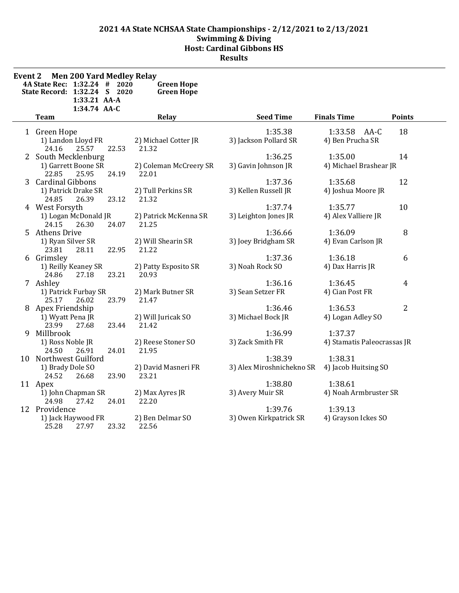| Event 2 | <b>Men 200 Yard Medley Relay</b><br>4A State Rec: 1:32.24 #<br>2020<br>State Record: 1:32.24 S 2020<br>1:33.21 AA-A<br>1:34.74 AA-C | <b>Green Hope</b><br><b>Green Hope</b> |                                      |                                        |                |
|---------|-------------------------------------------------------------------------------------------------------------------------------------|----------------------------------------|--------------------------------------|----------------------------------------|----------------|
|         | Team                                                                                                                                | Relay                                  | <b>Seed Time</b>                     | <b>Finals Time</b>                     | <b>Points</b>  |
|         | 1 Green Hope<br>1) Landon Lloyd FR<br>24.16<br>25.57<br>22.53                                                                       | 2) Michael Cotter JR<br>21.32          | 1:35.38<br>3) Jackson Pollard SR     | 1:33.58 AA-C<br>4) Ben Prucha SR       | 18             |
|         | 2 South Mecklenburg<br>1) Garrett Boone SR<br>22.85<br>25.95<br>24.19                                                               | 2) Coleman McCreery SR<br>22.01        | 1:36.25<br>3) Gavin Johnson JR       | 1:35.00<br>4) Michael Brashear JR      | 14             |
|         | 3 Cardinal Gibbons<br>1) Patrick Drake SR<br>24.85<br>26.39<br>23.12                                                                | 2) Tull Perkins SR<br>21.32            | 1:37.36<br>3) Kellen Russell JR      | 1:35.68<br>4) Joshua Moore JR          | 12             |
|         | 4 West Forsyth<br>1) Logan McDonald JR<br>24.15<br>26.30<br>24.07                                                                   | 2) Patrick McKenna SR<br>21.25         | 1:37.74<br>3) Leighton Jones JR      | 1:35.77<br>4) Alex Valliere JR         | 10             |
|         | 5 Athens Drive<br>1) Ryan Silver SR<br>23.81<br>28.11<br>22.95                                                                      | 2) Will Shearin SR<br>21.22            | 1:36.66<br>3) Joey Bridgham SR       | 1:36.09<br>4) Evan Carlson JR          | 8              |
|         | 6 Grimsley<br>1) Reilly Keaney SR<br>24.86<br>27.18<br>23.21                                                                        | 2) Patty Esposito SR<br>20.93          | 1:37.36<br>3) Noah Rock SO           | 1:36.18<br>4) Dax Harris JR            | 6              |
|         | 7 Ashley<br>1) Patrick Furbay SR<br>25.17<br>26.02<br>23.79                                                                         | 2) Mark Butner SR<br>21.47             | 1:36.16<br>3) Sean Setzer FR         | 1:36.45<br>4) Cian Post FR             | $\overline{4}$ |
|         | 8 Apex Friendship<br>1) Wyatt Pena JR<br>23.99<br>23.44<br>27.68                                                                    | 2) Will Juricak SO<br>21.42            | 1:36.46<br>3) Michael Bock JR        | 1:36.53<br>4) Logan Adley SO           | $\overline{2}$ |
|         | 9 Millbrook<br>1) Ross Noble JR<br>24.01<br>24.50<br>26.91                                                                          | 2) Reese Stoner SO<br>21.95            | 1:36.99<br>3) Zack Smith FR          | 1:37.37<br>4) Stamatis Paleocrassas JR |                |
|         | 10 Northwest Guilford<br>1) Brady Dole SO<br>24.52<br>26.68<br>23.90                                                                | 2) David Masneri FR<br>23.21           | 1:38.39<br>3) Alex Miroshnichekno SR | 1:38.31<br>4) Jacob Huitsing SO        |                |
|         | 11 Apex<br>1) John Chapman SR<br>24.98<br>27.42<br>24.01                                                                            | 2) Max Ayres JR<br>22.20               | 1:38.80<br>3) Avery Muir SR          | 1:38.61<br>4) Noah Armbruster SR       |                |
|         | 12 Providence<br>1) Jack Haywood FR<br>27.97<br>23.32<br>25.28                                                                      | 2) Ben Delmar SO<br>22.56              | 1:39.76<br>3) Owen Kirkpatrick SR    | 1:39.13<br>4) Grayson Ickes SO         |                |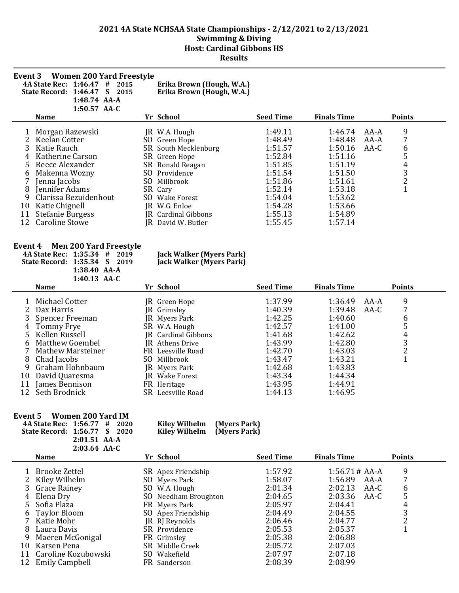|                                     | Event 3 Women 200 Yard Freestyle<br>4A State Rec: 1:46.47<br>#<br>State Record: 1:46.47<br>$\mathbf{S}$<br>1:48.74 AA-A<br>$1:50.57$ AA-C                                                                                         | 2015<br>2015      | Erika Brown (Hough, W.A.)<br>Erika Brown (Hough, W.A.)                                                                                                                                                                       |                                                                                                                                  |                                                                                                                                  |                        |                            |
|-------------------------------------|-----------------------------------------------------------------------------------------------------------------------------------------------------------------------------------------------------------------------------------|-------------------|------------------------------------------------------------------------------------------------------------------------------------------------------------------------------------------------------------------------------|----------------------------------------------------------------------------------------------------------------------------------|----------------------------------------------------------------------------------------------------------------------------------|------------------------|----------------------------|
|                                     | <b>Name</b>                                                                                                                                                                                                                       |                   | Yr School                                                                                                                                                                                                                    | <b>Seed Time</b>                                                                                                                 | <b>Finals Time</b>                                                                                                               |                        | <b>Points</b>              |
| 5.<br>b<br>8<br>9<br>10<br>11<br>12 | Morgan Razewski<br>Keelan Cotter<br>Katie Rauch<br>Katherine Carson<br>Reece Alexander<br>Makenna Wozny<br>Jenna Jacobs<br>Jennifer Adams<br>Clarissa Bezuidenhout<br>Katie Chignell<br><b>Stefanie Burgess</b><br>Caroline Stowe | SO.<br>SO.<br>SO. | JR W.A. Hough<br>Green Hope<br>SR South Mecklenburg<br>SR Green Hope<br>SR Ronald Reagan<br>SO Providence<br>Millbrook<br>SR Cary<br><b>Wake Forest</b><br>JR W.G. Enloe<br><b>JR</b> Cardinal Gibbons<br>JR David W. Butler | 1:49.11<br>1:48.49<br>1:51.57<br>1:52.84<br>1:51.85<br>1:51.54<br>1:51.86<br>1:52.14<br>1:54.04<br>1:54.28<br>1:55.13<br>1:55.45 | 1:46.74<br>1:48.48<br>1:50.16<br>1:51.16<br>1:51.19<br>1:51.50<br>1:51.61<br>1:53.18<br>1:53.62<br>1:53.66<br>1:54.89<br>1:57.14 | AA-A<br>$AA-A$<br>AA-C | 9<br>6<br>5<br>4<br>3<br>2 |

#### **Event 4 Men 200 Yard Freestyle**

| $\sim$                       |                |                          |
|------------------------------|----------------|--------------------------|
| 4A State Rec: 1:35.34 # 2019 |                | Jack Walker (Myers Park) |
| State Record: 1:35.34 S 2019 |                | Jack Walker (Myers Park) |
|                              | $1:38.40$ AA-A |                          |
|                              | 1:40.13 $AA-C$ |                          |

|    | <b>Name</b>       |     | Yr School                  | <b>Seed Time</b> | <b>Finals Time</b> |      | <b>Points</b> |
|----|-------------------|-----|----------------------------|------------------|--------------------|------|---------------|
|    | Michael Cotter    |     | JR Green Hope              | 1:37.99          | 1:36.49            | AA-A | 9             |
|    | 2 Dax Harris      |     | JR Grimsley                | 1:40.39          | 1:39.48            | AA-C |               |
| 3  | Spencer Freeman   |     | JR Myers Park              | 1:42.25          | 1:40.60            |      | 6             |
|    | 4 Tommy Frye      |     | SR W.A. Hough              | 1:42.57          | 1:41.00            |      | 5             |
|    | 5 Kellen Russell  |     | <b>IR</b> Cardinal Gibbons | 1:41.68          | 1:42.62            |      | 4             |
| 6  | Matthew Goembel   |     | JR Athens Drive            | 1:43.99          | 1:42.80            |      | 3             |
|    | Mathew Marsteiner |     | FR Leesville Road          | 1:42.70          | 1:43.03            |      |               |
| 8  | Chad Jacobs       | SO. | Millbrook                  | 1:43.47          | 1:43.21            |      |               |
| 9  | Graham Hohnbaum   |     | JR Myers Park              | 1:42.68          | 1:43.83            |      |               |
| 10 | David Quaresma    |     | JR Wake Forest             | 1:43.34          | 1:44.34            |      |               |
| 11 | James Bennison    |     | FR Heritage                | 1:43.95          | 1:44.91            |      |               |
| 12 | Seth Brodnick     |     | SR Leesville Road          | 1:44.13          | 1:46.95            |      |               |

#### **Event 5 Women 200 Yard IM**

| 4A State Rec: 1:56.77 # 2020 |                |  | Kiley Wilhelm (Myers Park) |  |
|------------------------------|----------------|--|----------------------------|--|
| State Record: 1:56.77 S 2020 |                |  | Kiley Wilhelm (Myers Park) |  |
|                              | $2:01.51$ AA-A |  |                            |  |
|                              | $2:03.64$ AA-C |  |                            |  |

|    | Name                  | Yr School            | <b>Seed Time</b> | <b>Finals Time</b> | <b>Points</b> |
|----|-----------------------|----------------------|------------------|--------------------|---------------|
|    | 1 Brooke Zettel       | SR Apex Friendship   | 1:57.92          | $1:56.71#AA-A$     | 9             |
|    | 2 Kiley Wilhelm       | SO Myers Park        | 1:58.07          | 1:56.89<br>AA-A    |               |
|    | 3 Grace Rainey        | SO W.A. Hough        | 2:01.34          | 2:02.13<br>AA-C    | 6             |
|    | 4 Elena Dry           | SO Needham Broughton | 2:04.65          | 2:03.36<br>AA-C    | 5             |
|    | 5 Sofia Plaza         | FR Myers Park        | 2:05.97          | 2:04.41            | 4             |
|    | 6 Taylor Bloom        | SO Apex Friendship   | 2:04.49          | 2:04.55            | 3             |
|    | 7 Katie Mohr          | JR RJ Reynolds       | 2:06.46          | 2:04.77            |               |
| 8  | Laura Davis           | SR Providence        | 2:05.53          | 2:05.37            |               |
| 9  | Maeren McGonigal      | FR Grimsley          | 2:05.38          | 2:06.88            |               |
| 10 | Karsen Pena           | SR Middle Creek      | 2:05.72          | 2:07.03            |               |
| 11 | Caroline Kozubowski   | SO Wakefield         | 2:07.97          | 2:07.18            |               |
| 12 | <b>Emily Campbell</b> | FR Sanderson         | 2:08.39          | 2:08.99            |               |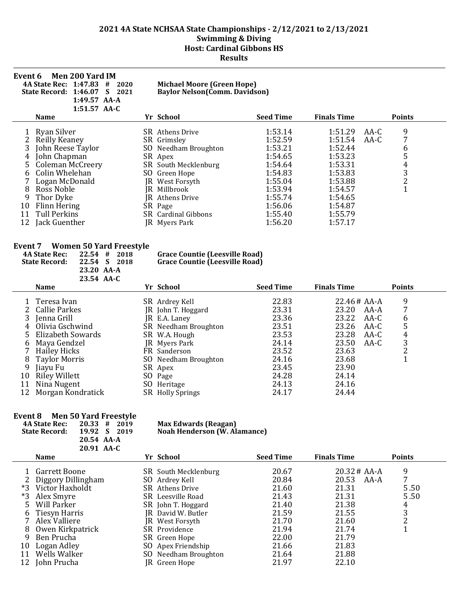| Event 6                                       | <b>Men 200 Yard IM</b><br><b>4A State Rec: 1:47.83</b><br>2020<br>#<br>S<br>State Record: 1:46.07<br>2021<br>1:49.57 AA-A<br>$1:51.57$ AA-C                                                                         |                 | <b>Michael Moore (Green Hope)</b><br><b>Baylor Nelson (Comm. Davidson)</b>                                                                                                                                               |                                                                                                                                  |                                                                                                                                  |              |                                                   |
|-----------------------------------------------|---------------------------------------------------------------------------------------------------------------------------------------------------------------------------------------------------------------------|-----------------|--------------------------------------------------------------------------------------------------------------------------------------------------------------------------------------------------------------------------|----------------------------------------------------------------------------------------------------------------------------------|----------------------------------------------------------------------------------------------------------------------------------|--------------|---------------------------------------------------|
|                                               | <b>Name</b>                                                                                                                                                                                                         |                 | Yr School                                                                                                                                                                                                                | <b>Seed Time</b>                                                                                                                 | <b>Finals Time</b>                                                                                                               |              | <b>Points</b>                                     |
| 3<br>4<br>5.<br>6<br>8<br>9<br>10<br>11<br>12 | Ryan Silver<br>Reilly Keaney<br>John Reese Taylor<br>John Chapman<br><b>Coleman McCreery</b><br>Colin Whelehan<br>Logan McDonald<br>Ross Noble<br>Thor Dyke<br>Flinn Hering<br><b>Tull Perkins</b><br>Jack Guenther | SO<br>IR.<br>IR | SR Athens Drive<br>SR Grimsley<br>SO Needham Broughton<br>SR Apex<br>SR South Mecklenburg<br>Green Hope<br>JR West Forsyth<br>Millbrook<br><b>Athens Drive</b><br>SR Page<br><b>SR</b> Cardinal Gibbons<br>JR Myers Park | 1:53.14<br>1:52.59<br>1:53.21<br>1:54.65<br>1:54.64<br>1:54.83<br>1:55.04<br>1:53.94<br>1:55.74<br>1:56.06<br>1:55.40<br>1:56.20 | 1:51.29<br>1:51.54<br>1:52.44<br>1:53.23<br>1:53.31<br>1:53.83<br>1:53.88<br>1:54.57<br>1:54.65<br>1:54.87<br>1:55.79<br>1:57.17 | AA-C<br>AA-C | 9<br>7<br>b<br>5<br>4<br>3<br>$\overline{2}$<br>1 |

# **Event 7 Women 50 Yard Freestyle 4A State Rec:** 22.54 # 2018

|    | <b>4A State Rec:</b><br><b>State Record:</b> | 22.54<br>#<br>22.54<br>S.<br>23.20 AA-A<br>23.54 AA-C | 2018<br>2018 | <b>Grace Countie (Leesville Road)</b><br><b>Grace Countie (Leesville Road)</b> |                  |                    |      |               |  |
|----|----------------------------------------------|-------------------------------------------------------|--------------|--------------------------------------------------------------------------------|------------------|--------------------|------|---------------|--|
|    | <b>Name</b>                                  |                                                       |              | Yr School                                                                      | <b>Seed Time</b> | <b>Finals Time</b> |      | <b>Points</b> |  |
|    | Teresa Ivan                                  |                                                       |              | SR Ardrey Kell                                                                 | 22.83            | $22.46#AA-A$       |      | 9             |  |
|    | Callie Parkes                                |                                                       |              | JR John T. Hoggard                                                             | 23.31            | 23.20              | AA-A | 7             |  |
| 3  | Jenna Grill                                  |                                                       |              | JR E.A. Laney                                                                  | 23.36            | 23.22              | AA-C | 6             |  |
| 4  | Olivia Gschwind                              |                                                       |              | SR Needham Broughton                                                           | 23.51            | 23.26              | AA-C | 5             |  |
| 5. | Elizabeth Sowards                            |                                                       |              | SR W.A. Hough                                                                  | 23.53            | 23.28              | AA-C | 4             |  |
| 6  | Maya Gendzel                                 |                                                       |              | <b>IR</b> Myers Park                                                           | 24.14            | 23.50              | AA-C | 3             |  |
|    | <b>Hailey Hicks</b>                          |                                                       |              | FR Sanderson                                                                   | 23.52            | 23.63              |      | 2             |  |
| 8  | <b>Taylor Morris</b>                         |                                                       |              | SO Needham Broughton                                                           | 24.16            | 23.68              |      |               |  |
| 9  | Jiavu Fu                                     |                                                       |              | SR Apex                                                                        | 23.45            | 23.90              |      |               |  |
| 10 | <b>Riley Willett</b>                         |                                                       |              | SO Page                                                                        | 24.28            | 24.14              |      |               |  |
| 11 | Nina Nugent                                  |                                                       |              | SO Heritage                                                                    | 24.13            | 24.16              |      |               |  |
| 12 | Morgan Kondratick                            |                                                       |              | SR Holly Springs                                                               | 24.17            | 24.44              |      |               |  |
|    |                                              |                                                       |              |                                                                                |                  |                    |      |               |  |

# **Event 8 Men 50 Yard Freestyle**

| <b>4A State Rec:</b> | $20.33 \# 2019$ | <b>Max Edwards (Reagan)</b>         |
|----------------------|-----------------|-------------------------------------|
| <b>State Record:</b> | 19.92 S 2019    | <b>Noah Henderson (W. Alamance)</b> |
|                      | 20.54 AA-A      |                                     |
|                      | 20.91 AA-C      |                                     |

|            | <b>Name</b>                                                                         | Yr School                                                                                            | <b>Seed Time</b>                          | <b>Finals Time</b>                                          | <b>Points</b>          |
|------------|-------------------------------------------------------------------------------------|------------------------------------------------------------------------------------------------------|-------------------------------------------|-------------------------------------------------------------|------------------------|
| $*3$<br>*3 | Garrett Boone<br>Diggory Dillingham<br>Victor Haxholdt<br>Alex Smyre<br>Will Parker | SR South Mecklenburg<br>SO Ardrey Kell<br>SR Athens Drive<br>SR Leesville Road<br>SR John T. Hoggard | 20.67<br>20.84<br>21.60<br>21.43<br>21.40 | $20.32 \# AA-A$<br>20.53<br>AA-A<br>21.31<br>21.31<br>21.38 | 9<br>5.50<br>5.50<br>4 |
|            | 6 Tiesyn Harris                                                                     | JR David W. Butler                                                                                   | 21.59                                     | 21.55                                                       | 3                      |
|            | Alex Valliere                                                                       | JR West Forsyth                                                                                      | 21.70                                     | 21.60                                                       |                        |
| 8.         | Owen Kirkpatrick                                                                    | SR Providence                                                                                        | 21.94                                     | 21.74                                                       |                        |
| 9          | Ben Prucha                                                                          | SR Green Hope                                                                                        | 22.00                                     | 21.79                                                       |                        |
| 10         | Logan Adley                                                                         | SO Apex Friendship                                                                                   | 21.66                                     | 21.83                                                       |                        |
| 11         | Wells Walker                                                                        | SO Needham Broughton                                                                                 | 21.64                                     | 21.88                                                       |                        |
| 12         | John Prucha                                                                         | JR Green Hope                                                                                        | 21.97                                     | 22.10                                                       |                        |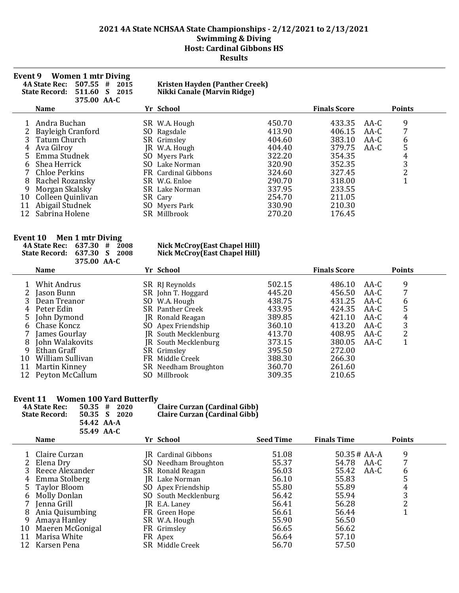| <b>Event 9</b> | <b>Women 1 mtr Diving</b><br><b>4A State Rec:</b><br>507.55<br>#<br>2015<br>511.60<br>S<br><b>State Record:</b><br>2015<br>375.00 AA-C |     | Kristen Hayden (Panther Creek)<br>Nikki Canale (Marvin Ridge) |        |                     |        |                      |
|----------------|----------------------------------------------------------------------------------------------------------------------------------------|-----|---------------------------------------------------------------|--------|---------------------|--------|----------------------|
|                | <b>Name</b>                                                                                                                            |     | Yr School                                                     |        | <b>Finals Score</b> |        | <b>Points</b>        |
|                | Andra Buchan                                                                                                                           |     | SR W.A. Hough                                                 | 450.70 | 433.35              | AA-C   | 9                    |
|                | Bayleigh Cranford                                                                                                                      |     | SO Ragsdale                                                   | 413.90 | 406.15              | AA-C   | 7                    |
|                | Tatum Church                                                                                                                           |     | SR Grimsley                                                   | 404.60 | 383.10              | $AA-C$ | 6                    |
|                | Ava Gilroy                                                                                                                             | IR. | W.A. Hough                                                    | 404.40 | 379.75              | $AA-C$ | 5                    |
| 5.             | Emma Studnek                                                                                                                           | SO. | Myers Park                                                    | 322.20 | 354.35              |        | 4                    |
| 6              | Shea Herrick                                                                                                                           |     | SO Lake Norman                                                | 320.90 | 352.35              |        | 3                    |
|                | Chloe Perkins                                                                                                                          |     | FR Cardinal Gibbons                                           | 324.60 | 327.45              |        | $\overline{c}$       |
| 8              | Rachel Rozansky                                                                                                                        |     | SR W.G. Enloe                                                 | 290.70 | 318.00              |        | $\blacktriangleleft$ |
| 9              | Morgan Skalsky                                                                                                                         |     | SR Lake Norman                                                | 337.95 | 233.55              |        |                      |
| 10             | Colleen Quinlivan                                                                                                                      |     | SR Cary                                                       | 254.70 | 211.05              |        |                      |
|                | Abigail Studnek                                                                                                                        |     | SO Myers Park                                                 | 330.90 | 210.30              |        |                      |
| 12             | Sabrina Holene                                                                                                                         | SR  | Millbrook                                                     | 270.20 | 176.45              |        |                      |

#### **Event 10 Men 1 mtr Diving**

#### **4A State Rec: 637.30 # 2008 Nick McCroy(East Chapel Hill) State Record: 637.30 S 2008 Nick McCroy(East Chapel Hill)**

|       | 375.00 AA-C      |                         |        |                     |               |
|-------|------------------|-------------------------|--------|---------------------|---------------|
|       | <b>Name</b>      | Yr School               |        | <b>Finals Score</b> | <b>Points</b> |
|       | Whit Andrus      | SR RJ Reynolds          | 502.15 | 486.10              | 9<br>AA-C     |
|       | Jason Bunn       | SR John T. Hoggard      | 445.20 | 456.50              | 7<br>AA-C     |
|       | Dean Treanor     | SO W.A. Hough           | 438.75 | 431.25              | AA-C<br>6     |
|       | 4 Peter Edin     | <b>SR</b> Panther Creek | 433.95 | 424.35              | 5<br>AA-C     |
|       | 5 John Dymond    | JR Ronald Reagan        | 389.85 | 421.10              | AA-C<br>4     |
| - 6 - | Chase Koncz      | SO Apex Friendship      | 360.10 | 413.20              | 3<br>AA-C     |
|       | James Gourlay    | JR South Mecklenburg    | 413.70 | 408.95              | 2<br>AA-C     |
| 8     | John Walakovits  | JR South Mecklenburg    | 373.15 | 380.05              | AA-C          |
| 9     | Ethan Graff      | SR Grimsley             | 395.50 | 272.00              |               |
| 10    | William Sullivan | FR Middle Creek         | 388.30 | 266.30              |               |
| 11    | Martin Kinney    | SR Needham Broughton    | 360.70 | 261.60              |               |
| 12.   | Peyton McCallum  | SO Millbrook            | 309.35 | 210.65              |               |

#### **Event 11 Women 100 Yard Butterfly**

| Event 11 |                               | <b>Women 100 Yard Butterfly</b> |                                      |                  |                    |      |               |
|----------|-------------------------------|---------------------------------|--------------------------------------|------------------|--------------------|------|---------------|
|          | <b>4A State Rec:</b><br>50.35 | #<br>2020                       | <b>Claire Curzan (Cardinal Gibb)</b> |                  |                    |      |               |
|          | <b>State Record:</b><br>50.35 | S.<br>2020                      | <b>Claire Curzan (Cardinal Gibb)</b> |                  |                    |      |               |
|          | 54.42 AA-A                    |                                 |                                      |                  |                    |      |               |
|          | 55.49 AA-C                    |                                 |                                      |                  |                    |      |               |
|          | <b>Name</b>                   |                                 | Yr School                            | <b>Seed Time</b> | <b>Finals Time</b> |      | <b>Points</b> |
|          |                               |                                 |                                      |                  |                    |      |               |
|          | Claire Curzan                 |                                 | <b>JR</b> Cardinal Gibbons           | 51.08            | $50.35 \# AA-A$    |      | 9             |
|          | Elena Dry                     |                                 | SO Needham Broughton                 | 55.37            | 54.78              | AA-C | 7             |
|          | Reece Alexander               |                                 | SR Ronald Reagan                     | 56.03            | 55.42              | AA-C | 6             |
| 4        | Emma Stolberg                 |                                 | IR Lake Norman                       | 56.10            | 55.83              |      | 5             |
| 5.       | Taylor Bloom                  |                                 | SO Apex Friendship                   | 55.80            | 55.89              |      | 4             |
| 6        | <b>Molly Donlan</b>           |                                 | SO South Mecklenburg                 | 56.42            | 55.94              |      | 3             |
|          | Jenna Grill                   |                                 | JR E.A. Laney                        | 56.41            | 56.28              |      | 2             |
| 8        | Ania Quisumbing               |                                 | FR Green Hope                        | 56.61            | 56.44              |      |               |
| 9        | Amaya Hanley                  |                                 | SR W.A. Hough                        | 55.90            | 56.50              |      |               |

- 10 Maeren McGonigal and The Grimsley States and Solid Solid Solid Solid Solid Solid Solid Solid Solid Solid So<br>11 Marisa White 56.62 FR Apex 56.64 57.10
- 11 Marisa White  $\overline{R}$  Apex 56.64 57.10<br>12 Karsen Pena SR Middle Creek 56.70 57.50
- 12 Karsen Pena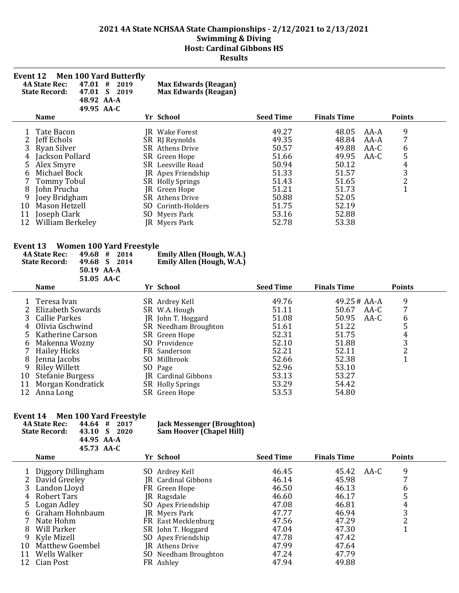| <b>Seed Time</b><br><b>Finals Time</b><br>Yr School<br><b>Name</b><br>9<br>49.27<br>48.05<br>1<br>Tate Bacon<br>AA-A<br>JR Wake Forest<br>7<br>2<br>49.35<br>48.84<br>Jeff Echols<br>SR RJ Reynolds<br>AA-A<br>3<br>50.57<br>49.88<br>6<br>Ryan Silver<br>SR Athens Drive<br>$AA-C$<br>54321<br>51.66<br>Jackson Pollard<br>SR Green Hope<br>49.95<br>$AA-C$<br>4<br>50.94<br>50.12<br>5<br>Alex Smyre<br>SR Leesville Road<br>51.33<br>Michael Bock<br>51.57<br>6<br>JR Apex Friendship<br>7<br><b>Tommy Tobul</b><br>51.43<br>51.65<br>SR Holly Springs<br>51.21<br>8<br>John Prucha<br>51.73<br>JR Green Hope<br>50.88<br>9<br>Joey Bridgham<br>52.05<br>SR Athens Drive<br>10<br>Mason Hetzell<br>51.75<br>52.19<br>SO.<br>Corinth-Holders<br>Joseph Clark<br>53.16<br>52.88<br>11<br>SO Myers Park<br>53.38<br>12<br>52.78<br>William Berkeley<br>JR Myers Park<br>Event 13<br><b>Women 100 Yard Freestyle</b><br><b>4A State Rec:</b><br>Emily Allen (Hough, W.A.)<br>49.68#<br>2014<br>49.68 S<br>2014<br><b>State Record:</b><br>Emily Allen (Hough, W.A.)<br>50.19 AA-A<br>51.05 AA-C<br><b>Seed Time</b><br><b>Finals Time</b><br>Yr School<br><b>Name</b><br>9<br>49.76<br>Teresa Ivan<br>49.25 # AA-A<br>1<br>SR Ardrey Kell<br>7<br>51.11<br>2<br>Elizabeth Sowards<br>50.67<br>$AA-C$<br>SR W.A. Hough<br>3<br>6<br>51.08<br>$AA-C$<br><b>Callie Parkes</b><br>50.95<br>JR John T. Hoggard<br>5<br>Olivia Gschwind<br>51.61<br>4<br>51.22<br>SR Needham Broughton<br>$\overline{4}$<br>52.31<br>51.75<br>5<br>Katherine Carson<br>SR Green Hope<br>$\frac{3}{2}$<br>52.10<br>51.88<br>SO Providence<br>6<br>Makenna Wozny<br>52.21<br>52.11<br>7<br><b>Hailey Hicks</b><br>FR Sanderson<br>$\overline{1}$<br>52.38<br>52.66<br>8<br>SO Millbrook<br>Jenna Jacobs | <b>Event 12</b> | <b>Men 100 Yard Butterfly</b><br><b>4A State Rec:</b><br>47.01#<br>47.01 S 2019<br><b>State Record:</b><br>48.92 AA-A<br>49.95 AA-C | 2019 | <b>Max Edwards (Reagan)</b><br><b>Max Edwards (Reagan)</b> |       |       |               |
|--------------------------------------------------------------------------------------------------------------------------------------------------------------------------------------------------------------------------------------------------------------------------------------------------------------------------------------------------------------------------------------------------------------------------------------------------------------------------------------------------------------------------------------------------------------------------------------------------------------------------------------------------------------------------------------------------------------------------------------------------------------------------------------------------------------------------------------------------------------------------------------------------------------------------------------------------------------------------------------------------------------------------------------------------------------------------------------------------------------------------------------------------------------------------------------------------------------------------------------------------------------------------------------------------------------------------------------------------------------------------------------------------------------------------------------------------------------------------------------------------------------------------------------------------------------------------------------------------------------------------------------------------------------------------------------------------------------------------------------------------------------------------------|-----------------|-------------------------------------------------------------------------------------------------------------------------------------|------|------------------------------------------------------------|-------|-------|---------------|
|                                                                                                                                                                                                                                                                                                                                                                                                                                                                                                                                                                                                                                                                                                                                                                                                                                                                                                                                                                                                                                                                                                                                                                                                                                                                                                                                                                                                                                                                                                                                                                                                                                                                                                                                                                                |                 |                                                                                                                                     |      |                                                            |       |       | <b>Points</b> |
|                                                                                                                                                                                                                                                                                                                                                                                                                                                                                                                                                                                                                                                                                                                                                                                                                                                                                                                                                                                                                                                                                                                                                                                                                                                                                                                                                                                                                                                                                                                                                                                                                                                                                                                                                                                |                 |                                                                                                                                     |      |                                                            |       |       |               |
|                                                                                                                                                                                                                                                                                                                                                                                                                                                                                                                                                                                                                                                                                                                                                                                                                                                                                                                                                                                                                                                                                                                                                                                                                                                                                                                                                                                                                                                                                                                                                                                                                                                                                                                                                                                |                 |                                                                                                                                     |      |                                                            |       |       |               |
|                                                                                                                                                                                                                                                                                                                                                                                                                                                                                                                                                                                                                                                                                                                                                                                                                                                                                                                                                                                                                                                                                                                                                                                                                                                                                                                                                                                                                                                                                                                                                                                                                                                                                                                                                                                |                 |                                                                                                                                     |      |                                                            |       |       | <b>Points</b> |
| SO Page<br>53.13<br>53.27<br>10<br><b>Stefanie Burgess</b><br><b>JR</b> Cardinal Gibbons                                                                                                                                                                                                                                                                                                                                                                                                                                                                                                                                                                                                                                                                                                                                                                                                                                                                                                                                                                                                                                                                                                                                                                                                                                                                                                                                                                                                                                                                                                                                                                                                                                                                                       | 9               | <b>Riley Willett</b>                                                                                                                |      |                                                            | 52.96 | 53.10 |               |

#### **Event 14 Men 100 Yard Freestyle**

| Event 14 Men 100 Yard Freestyle<br><b>4A State Rec:</b><br>44.64 #<br>2017<br><b>State Record:</b><br>43.10 S<br>2020<br>44.95 AA-A<br>45.73 AA-C | <b>Jack Messenger (Broughton)</b><br><b>Sam Hoover (Chapel Hill)</b> |                       |                    |               |
|---------------------------------------------------------------------------------------------------------------------------------------------------|----------------------------------------------------------------------|-----------------------|--------------------|---------------|
| <b>Name</b>                                                                                                                                       | Yr School                                                            | <b>Seed Time</b>      | <b>Finals Time</b> | <b>Points</b> |
| Diggory Dillingham                                                                                                                                | SO Ardrey Kell                                                       | 46.45                 | 45.42 AA-C         | ⇁             |
| David Greeley<br>2 London Lloud                                                                                                                   | JR Cardinal Gibbons<br>$FD$ $C_{\text{mean}}$ $H_{\text{ana}}$       | 46.14<br>$AC$ $E$ $A$ | 45.98<br>$AC$ 12   |               |

11 Morgan Kondratick SR Holly Springs 53.29 54.42 12 Anna Long SR Green Hope 53.53 54.80

|    | Diggory Dillingham | SO Ardrey Kell         | 46.45 | 45.42<br>AA-C |   |
|----|--------------------|------------------------|-------|---------------|---|
|    | 2 David Greeley    | JR Cardinal Gibbons    | 46.14 | 45.98         |   |
|    | 3 Landon Lloyd     | FR Green Hope          | 46.50 | 46.13         | b |
|    | 4 Robert Tars      | JR Ragsdale            | 46.60 | 46.17         |   |
|    | 5 Logan Adley      | SO Apex Friendship     | 47.08 | 46.81         | 4 |
|    | 6 Graham Hohnbaum  | JR Myers Park          | 47.77 | 46.94         | 3 |
|    | Nate Hohm          | FR East Mecklenburg    | 47.56 | 47.29         |   |
|    | 8 Will Parker      | SR John T. Hoggard     | 47.04 | 47.30         |   |
|    | 9 Kyle Mizell      | SO Apex Friendship     | 47.78 | 47.42         |   |
|    | 10 Matthew Goembel | <b>IR</b> Athens Drive | 47.99 | 47.64         |   |
| 11 | Wells Walker       | SO Needham Broughton   | 47.24 | 47.79         |   |
|    | 12 Cian Post       | FR Ashley              | 47.94 | 49.88         |   |
|    |                    |                        |       |               |   |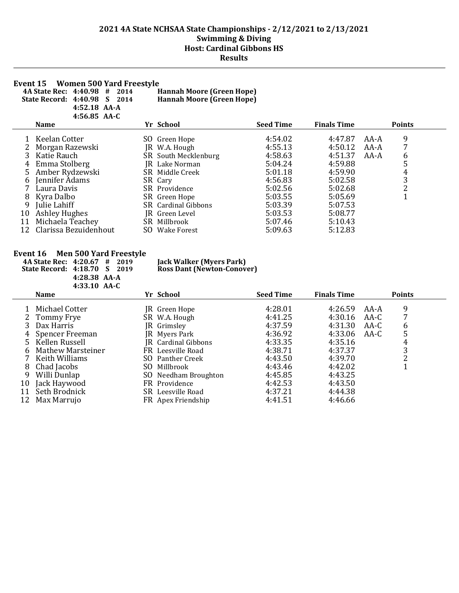**Event 15 Women 500 Yard Freestyle<br>4A State Rec: 4:40.98 # 2014 Hannah Moore (Green Hope)**<br>5tate Record: 4:40.98 S 2014 Hannah Moore (Green Hope) **4A State Rec: 4:40.98 # 2014 Hannah Moore (Green Hope)**

**State Record: 4:40.98 S 2014 Hannah Moore (Green Hope)**

| $4:52.18$ AA-A |  |
|----------------|--|
| $4:56.85$ AA-C |  |

|              | <b>Name</b>              |     | Yr School                  | <b>Seed Time</b> | <b>Finals Time</b> |      | <b>Points</b> |
|--------------|--------------------------|-----|----------------------------|------------------|--------------------|------|---------------|
|              | Keelan Cotter            |     | SO Green Hope              | 4:54.02          | 4:47.87            | AA-A | 9             |
| $\mathbf{2}$ | Morgan Razewski          |     | JR W.A. Hough              | 4:55.13          | 4:50.12            | AA-A |               |
|              | 3 Katie Rauch            |     | SR South Mecklenburg       | 4:58.63          | 4:51.37            | AA-A | 6             |
|              | 4 Emma Stolberg          |     | JR Lake Norman             | 5:04.24          | 4:59.88            |      | 5             |
|              | 5 Amber Rydzewski        |     | SR Middle Creek            | 5:01.18          | 4:59.90            |      | 4             |
|              | 6 Jennifer Adams         |     | SR Cary                    | 4:56.83          | 5:02.58            |      | 3             |
|              | Laura Davis              |     | SR Providence              | 5:02.56          | 5:02.68            |      | າ<br>∠        |
| 8            | Kyra Dalbo               |     | SR Green Hope              | 5:03.55          | 5:05.69            |      |               |
| 9            | Julie Lahiff             |     | <b>SR</b> Cardinal Gibbons | 5:03.39          | 5:07.53            |      |               |
| 10           | <b>Ashley Hughes</b>     |     | JR Green Level             | 5:03.53          | 5:08.77            |      |               |
|              | 11 Michaela Teachey      |     | SR Millbrook               | 5:07.46          | 5:10.43            |      |               |
|              | 12 Clarissa Bezuidenhout | SO. | Wake Forest                | 5:09.63          | 5:12.83            |      |               |

# **Event 16 Men 500 Yard Freestyle**<br>4A State Rec: 4:20.67 # 2019

| Rec: 4:20.67 # 20  |  |
|--------------------|--|
| cord: 4:18.70 S 20 |  |
| 4:28.38 AA-A       |  |
| 4:33.10 AA-C       |  |
|                    |  |

#### **4A State Rec: 4:20.67 # 2019 Jack Walker (Myers Park) State Record: 4:18.70 S 2019 Ross Dant (Newton-Conover)**

|    | THUJILV AA G      |     |                            |                  |                    |      |               |
|----|-------------------|-----|----------------------------|------------------|--------------------|------|---------------|
|    | <b>Name</b>       |     | Yr School                  | <b>Seed Time</b> | <b>Finals Time</b> |      | <b>Points</b> |
|    | Michael Cotter    |     | JR Green Hope              | 4:28.01          | 4:26.59            | AA-A | 9             |
|    | 2 Tommy Frye      |     | SR W.A. Hough              | 4:41.25          | 4:30.16            | AA-C | 7             |
|    | Dax Harris        |     | JR Grimsley                | 4:37.59          | 4:31.30            | AA-C | 6             |
| 4  | Spencer Freeman   |     | JR Myers Park              | 4:36.92          | 4:33.06            | AA-C | 5             |
|    | 5 Kellen Russell  |     | <b>JR</b> Cardinal Gibbons | 4:33.35          | 4:35.16            |      | 4             |
| 6  | Mathew Marsteiner |     | FR Leesville Road          | 4:38.71          | 4:37.37            |      | 3             |
|    | Keith Williams    |     | SO Panther Creek           | 4:43.50          | 4:39.70            |      | າ<br>∠        |
| 8  | Chad Jacobs       | SO. | Millbrook                  | 4:43.46          | 4:42.02            |      |               |
| 9  | Willi Dunlap      |     | SO Needham Broughton       | 4:45.85          | 4:43.25            |      |               |
| 10 | Jack Haywood      |     | FR Providence              | 4:42.53          | 4:43.50            |      |               |
| 11 | Seth Brodnick     |     | SR Leesville Road          | 4:37.21          | 4:44.38            |      |               |
| 12 | Max Marrujo       |     | FR Apex Friendship         | 4:41.51          | 4:46.66            |      |               |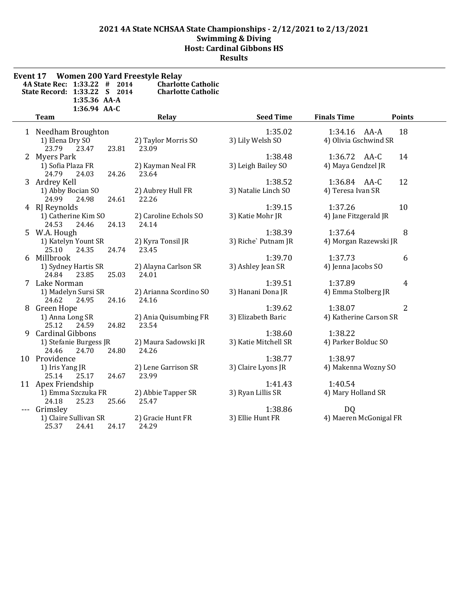| Event 17 | <b>Women 200 Yard Freestyle Relay</b><br>4A State Rec: 1:33.22<br>#<br>2014<br>State Record: 1:33.22 S 2014<br>1:35.36 AA-A<br>1:36.94 AA-C | <b>Charlotte Catholic</b><br><b>Charlotte Catholic</b> |                                 |                                             |                |
|----------|---------------------------------------------------------------------------------------------------------------------------------------------|--------------------------------------------------------|---------------------------------|---------------------------------------------|----------------|
|          | <b>Team</b>                                                                                                                                 | Relay                                                  | <b>Seed Time</b>                | <b>Finals Time</b><br><b>Points</b>         |                |
|          | 1 Needham Broughton<br>1) Elena Dry SO<br>23.79<br>23.47<br>23.81                                                                           | 2) Taylor Morris SO<br>23.09                           | 1:35.02<br>3) Lily Welsh SO     | 18<br>1:34.16 AA-A<br>4) Olivia Gschwind SR |                |
|          | 2 Myers Park<br>1) Sofia Plaza FR<br>24.79<br>24.03<br>24.26                                                                                | 2) Kayman Neal FR<br>23.64                             | 1:38.48<br>3) Leigh Bailey SO   | 1:36.72 AA-C<br>14<br>4) Maya Gendzel JR    |                |
|          | 3 Ardrey Kell<br>1) Abby Bocian SO<br>24.99<br>24.98<br>24.61                                                                               | 2) Aubrey Hull FR<br>22.26                             | 1:38.52<br>3) Natalie Linch SO  | 1:36.84 AA-C<br>12<br>4) Teresa Ivan SR     |                |
|          | 4 RJ Reynolds<br>1) Catherine Kim SO<br>24.53<br>24.46<br>24.13                                                                             | 2) Caroline Echols SO<br>24.14                         | 1:39.15<br>3) Katie Mohr JR     | 1:37.26<br>10<br>4) Jane Fitzgerald JR      |                |
|          | 5 W.A. Hough<br>1) Katelyn Yount SR<br>25.10<br>24.35<br>24.74                                                                              | 2) Kyra Tonsil JR<br>23.45                             | 1:38.39<br>3) Riche' Putnam JR  | 1:37.64<br>4) Morgan Razewski JR            | 8              |
| 6        | Millbrook<br>1) Sydney Hartis SR<br>24.84<br>23.85<br>25.03                                                                                 | 2) Alayna Carlson SR<br>24.01                          | 1:39.70<br>3) Ashley Jean SR    | 1:37.73<br>4) Jenna Jacobs SO               | 6              |
|          | 7 Lake Norman<br>1) Madelyn Sursi SR<br>24.62<br>24.16<br>24.95                                                                             | 2) Arianna Scordino SO<br>24.16                        | 1:39.51<br>3) Hanani Dona JR    | 1:37.89<br>4) Emma Stolberg JR              | $\overline{4}$ |
|          | 8 Green Hope<br>1) Anna Long SR<br>25.12<br>24.82<br>24.59                                                                                  | 2) Ania Quisumbing FR<br>23.54                         | 1:39.62<br>3) Elizabeth Baric   | 1:38.07<br>4) Katherine Carson SR           | 2              |
|          | 9 Cardinal Gibbons<br>1) Stefanie Burgess JR<br>24.80<br>24.46<br>24.70                                                                     | 2) Maura Sadowski JR<br>24.26                          | 1:38.60<br>3) Katie Mitchell SR | 1:38.22<br>4) Parker Bolduc SO              |                |
|          | 10 Providence<br>1) Iris Yang JR<br>24.67<br>25.14<br>25.17                                                                                 | 2) Lene Garrison SR<br>23.99                           | 1:38.77<br>3) Claire Lyons JR   | 1:38.97<br>4) Makenna Wozny SO              |                |
|          | 11 Apex Friendship<br>1) Emma Szczuka FR<br>24.18<br>25.23<br>25.66                                                                         | 2) Abbie Tapper SR<br>25.47                            | 1:41.43<br>3) Ryan Lillis SR    | 1:40.54<br>4) Mary Holland SR               |                |
|          | Grimsley<br>1) Claire Sullivan SR<br>25.37<br>24.41<br>24.17                                                                                | 2) Gracie Hunt FR<br>24.29                             | 1:38.86<br>3) Ellie Hunt FR     | <b>DQ</b><br>4) Maeren McGonigal FR         |                |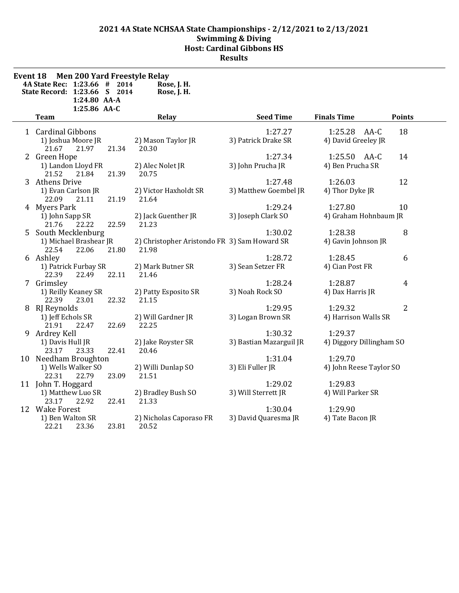| <b>Event 18</b> | <b>Men 200 Yard Freestyle Relay</b><br>4A State Rec: 1:23.66 # 2014<br>State Record: 1:23.66 S 2014<br>1:24.80 AA-A<br>1:25.86 AA-C |       | Rose, J. H.<br>Rose, J. H.                            |                                    |                                     |                |
|-----------------|-------------------------------------------------------------------------------------------------------------------------------------|-------|-------------------------------------------------------|------------------------------------|-------------------------------------|----------------|
|                 | <b>Team</b>                                                                                                                         |       | Relay                                                 | <b>Seed Time</b>                   | <b>Finals Time</b>                  | <b>Points</b>  |
|                 | 1 Cardinal Gibbons<br>1) Joshua Moore JR<br>21.97<br>21.67                                                                          | 21.34 | 2) Mason Taylor JR<br>20.30                           | 1:27.27<br>3) Patrick Drake SR     | 1:25.28 AA-C<br>4) David Greeley JR | 18             |
|                 | 2 Green Hope<br>1) Landon Lloyd FR<br>21.52<br>21.84                                                                                | 21.39 | 2) Alec Nolet JR<br>20.75                             | 1:27.34<br>3) John Prucha JR       | 1:25.50 AA-C<br>4) Ben Prucha SR    | 14             |
|                 | 3 Athens Drive<br>1) Evan Carlson JR<br>21.11<br>22.09                                                                              | 21.19 | 2) Victor Haxholdt SR<br>21.64                        | 1:27.48<br>3) Matthew Goembel JR   | 1:26.03<br>4) Thor Dyke JR          | 12             |
|                 | 4 Myers Park<br>1) John Sapp SR<br>21.76<br>22.22                                                                                   | 22.59 | 2) Jack Guenther JR<br>21.23                          | 1:29.24<br>3) Joseph Clark SO      | 1:27.80<br>4) Graham Hohnbaum JR    | 10             |
|                 | 5 South Mecklenburg<br>1) Michael Brashear JR<br>22.54<br>22.06                                                                     | 21.80 | 2) Christopher Aristondo FR 3) Sam Howard SR<br>21.98 | 1:30.02                            | 1:28.38<br>4) Gavin Johnson JR      | 8              |
|                 | 6 Ashley<br>1) Patrick Furbay SR<br>22.49<br>22.39                                                                                  | 22.11 | 2) Mark Butner SR<br>21.46                            | 1:28.72<br>3) Sean Setzer FR       | 1:28.45<br>4) Cian Post FR          | 6              |
|                 | 7 Grimsley<br>1) Reilly Keaney SR<br>22.39<br>23.01                                                                                 | 22.32 | 2) Patty Esposito SR<br>21.15                         | 1:28.24<br>3) Noah Rock SO         | 1:28.87<br>4) Dax Harris JR         | $\overline{4}$ |
|                 | 8 RJ Reynolds<br>1) Jeff Echols SR<br>21.91<br>22.47                                                                                | 22.69 | 2) Will Gardner JR<br>22.25                           | 1:29.95<br>3) Logan Brown SR       | 1:29.32<br>4) Harrison Walls SR     | 2              |
|                 | 9 Ardrey Kell<br>1) Davis Hull JR<br>23.33<br>23.17                                                                                 | 22.41 | 2) Jake Royster SR<br>20.46                           | 1:30.32<br>3) Bastian Mazarguil JR | 1:29.37<br>4) Diggory Dillingham SO |                |
|                 | 10 Needham Broughton<br>1) Wells Walker SO<br>22.31<br>22.79                                                                        | 23.09 | 2) Willi Dunlap SO<br>21.51                           | 1:31.04<br>3) Eli Fuller JR        | 1:29.70<br>4) John Reese Taylor SO  |                |
|                 | 11 John T. Hoggard<br>1) Matthew Luo SR<br>23.17<br>22.92                                                                           | 22.41 | 2) Bradley Bush SO<br>21.33                           | 1:29.02<br>3) Will Sterrett JR     | 1:29.83<br>4) Will Parker SR        |                |
|                 | 12 Wake Forest<br>1) Ben Walton SR<br>22.21<br>23.36                                                                                | 23.81 | 2) Nicholas Caporaso FR<br>20.52                      | 1:30.04<br>3) David Quaresma JR    | 1:29.90<br>4) Tate Bacon JR         |                |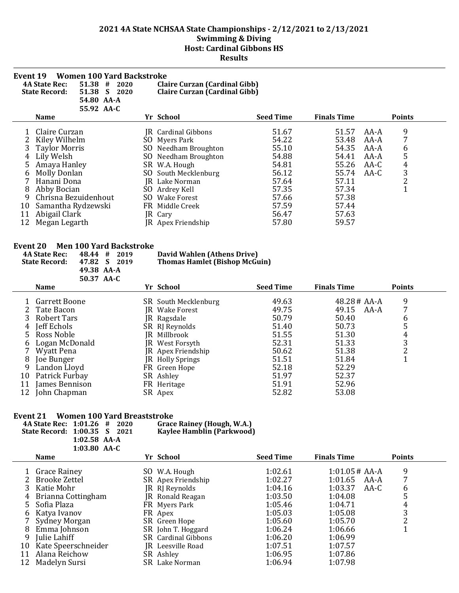| <b>Women 100 Yard Backstroke</b><br>Event 19<br>51.38<br><b>4A State Rec:</b><br>#<br>2020<br>51.38 S<br><b>State Record:</b><br>2020<br>54.80 AA-A<br>55.92 AA-C                                                                                                     | Claire Curzan (Cardinal Gibb)<br>Claire Curzan (Cardinal Gibb)                                                                                                                                                                                           |                                                                                                          |                                                                                                          |                                                                                                        |
|-----------------------------------------------------------------------------------------------------------------------------------------------------------------------------------------------------------------------------------------------------------------------|----------------------------------------------------------------------------------------------------------------------------------------------------------------------------------------------------------------------------------------------------------|----------------------------------------------------------------------------------------------------------|----------------------------------------------------------------------------------------------------------|--------------------------------------------------------------------------------------------------------|
| <b>Name</b>                                                                                                                                                                                                                                                           | Yr School                                                                                                                                                                                                                                                | <b>Seed Time</b>                                                                                         | <b>Finals Time</b>                                                                                       | <b>Points</b>                                                                                          |
| Claire Curzan<br>Kiley Wilhelm<br><b>Taylor Morris</b><br>Lily Welsh<br>4<br>Amaya Hanley<br>5.<br><b>Molly Donlan</b><br>b<br>Hanani Dona<br>Abby Bocian<br>8<br>Chrisna Bezuidenhout<br>9<br>Samantha Rydzewski<br>10<br>Abigail Clark<br>11<br>Megan Legarth<br>12 | IR Cardinal Gibbons<br>SO Myers Park<br>Needham Broughton<br>SO<br>SO Needham Broughton<br>SR W.A. Hough<br>South Mecklenburg<br>SO<br>JR Lake Norman<br>SO Ardrey Kell<br><b>Wake Forest</b><br>SO.<br>FR Middle Creek<br>JR Cary<br>JR Apex Friendship | 51.67<br>54.22<br>55.10<br>54.88<br>54.81<br>56.12<br>57.64<br>57.35<br>57.66<br>57.59<br>56.47<br>57.80 | 51.57<br>53.48<br>54.35<br>54.41<br>55.26<br>55.74<br>57.11<br>57.34<br>57.38<br>57.44<br>57.63<br>59.57 | 9<br>AA-A<br>AA-A<br>AA-A<br>6<br>5<br>AA-A<br>$\overline{4}$<br>$AA-C$<br>3<br>AA-C<br>$\overline{2}$ |

#### **Event 20 Men 100 Yard Backstroke**

| <b>4A State Rec:</b><br>48.44<br>#<br>2019<br><b>State Record:</b><br>47.82<br>S.<br>2019<br>49.38 AA-A |                   |            | David Wahlen (Athens Drive)<br><b>Thomas Hamlet (Bishop McGuin)</b> |    |                      |  |                  |                    |                 |      |               |  |
|---------------------------------------------------------------------------------------------------------|-------------------|------------|---------------------------------------------------------------------|----|----------------------|--|------------------|--------------------|-----------------|------|---------------|--|
|                                                                                                         | <b>Name</b>       | 50.37 AA-C |                                                                     |    | Yr School            |  | <b>Seed Time</b> | <b>Finals Time</b> |                 |      | <b>Points</b> |  |
|                                                                                                         |                   |            |                                                                     |    |                      |  |                  |                    |                 |      |               |  |
|                                                                                                         | Garrett Boone     |            |                                                                     |    | SR South Mecklenburg |  | 49.63            |                    | $48.28 \# AA-A$ |      | 9             |  |
|                                                                                                         | 2 Tate Bacon      |            |                                                                     |    | JR Wake Forest       |  | 49.75            |                    | 49.15           | AA-A | 7             |  |
| 3.                                                                                                      | Robert Tars       |            |                                                                     | IR | Ragsdale             |  | 50.79            |                    | 50.40           |      | 6             |  |
| 4                                                                                                       | Jeff Echols       |            |                                                                     |    | SR RJ Reynolds       |  | 51.40            |                    | 50.73           |      | 5             |  |
| 5.                                                                                                      | Ross Noble        |            |                                                                     |    | JR Millbrook         |  | 51.55            |                    | 51.30           |      | 4             |  |
| b                                                                                                       | Logan McDonald    |            |                                                                     |    | JR West Forsyth      |  | 52.31            |                    | 51.33           |      | 3             |  |
|                                                                                                         | <b>Wyatt Pena</b> |            |                                                                     |    | JR Apex Friendship   |  | 50.62            |                    | 51.38           |      | 2             |  |
| 8                                                                                                       | Joe Bunger        |            |                                                                     |    | JR Holly Springs     |  | 51.51            |                    | 51.84           |      |               |  |
| 9                                                                                                       | Landon Lloyd      |            |                                                                     |    | FR Green Hope        |  | 52.18            |                    | 52.29           |      |               |  |
| 10                                                                                                      | Patrick Furbay    |            |                                                                     |    | SR Ashley            |  | 51.97            |                    | 52.37           |      |               |  |
| 11                                                                                                      | James Bennison    |            |                                                                     |    | FR Heritage          |  | 51.91            |                    | 52.96           |      |               |  |
| 12                                                                                                      | John Chapman      |            |                                                                     |    | SR Apex              |  | 52.82            |                    | 53.08           |      |               |  |

# **Event 21 Women 100 Yard Breaststroke**

 $\overline{a}$ 

| 4A State Rec: 1:01.26 # 2020 |                |  | Grace Rainey (Hough, W.A.) |
|------------------------------|----------------|--|----------------------------|
| State Record: 1:00.35 S 2021 |                |  | Kaylee Hamblin (Parkwood)  |
|                              | $1:02.58$ AA-A |  |                            |
|                              | $1:03.80$ AA-C |  |                            |

|    | <b>Name</b>          | Yr School                  | <b>Seed Time</b> | <b>Finals Time</b> | <b>Points</b> |
|----|----------------------|----------------------------|------------------|--------------------|---------------|
|    |                      |                            |                  |                    |               |
|    | <b>Grace Rainey</b>  | SO W.A. Hough              | 1:02.61          | $1:01.05 \# AA-A$  | 9             |
|    | Brooke Zettel        | SR Apex Friendship         | 1:02.27          | 1:01.65<br>AA-A    |               |
| 3. | Katie Mohr           | JR RJ Reynolds             | 1:04.16          | 1:03.37<br>AA-C    | 6             |
|    | 4 Brianna Cottingham | JR Ronald Reagan           | 1:03.50          | 1:04.08            | 5             |
| 5. | Sofia Plaza          | FR Myers Park              | 1:05.46          | 1:04.71            | 4             |
|    | 6 Katya Ivanov       | FR Apex                    | 1:05.03          | 1:05.08            | 3             |
|    | Sydney Morgan        | SR Green Hope              | 1:05.60          | 1:05.70            |               |
| 8  | Emma Johnson         | SR John T. Hoggard         | 1:06.24          | 1:06.66            |               |
| 9  | Julie Lahiff         | <b>SR</b> Cardinal Gibbons | 1:06.20          | 1:06.99            |               |
| 10 | Kate Speerschneider  | JR Leesville Road          | 1:07.51          | 1:07.57            |               |
| 11 | Alana Reichow        | SR Ashley                  | 1:06.95          | 1:07.86            |               |
| 12 | Madelyn Sursi        | SR Lake Norman             | 1:06.94          | 1:07.98            |               |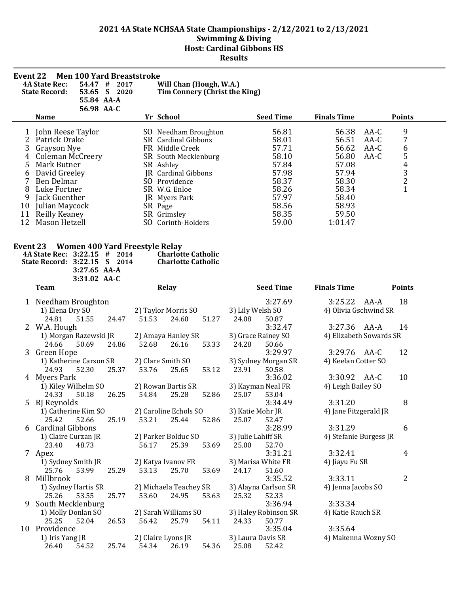| <b>Men 100 Yard Breaststroke</b><br>Event 22<br><b>4A State Rec:</b><br>54.47<br>#<br>Will Chan (Hough, W.A.)<br>2017<br>Tim Connery (Christ the King)<br><b>State Record:</b><br>53.65 S<br>2020<br>55.84 AA-A<br>56.98 AA-C |                      |     |                            |                  |                    |        |                |  |
|-------------------------------------------------------------------------------------------------------------------------------------------------------------------------------------------------------------------------------|----------------------|-----|----------------------------|------------------|--------------------|--------|----------------|--|
|                                                                                                                                                                                                                               | <b>Name</b>          |     | Yr School                  | <b>Seed Time</b> | <b>Finals Time</b> |        | <b>Points</b>  |  |
|                                                                                                                                                                                                                               | John Reese Taylor    |     | SO Needham Broughton       | 56.81            | 56.38              | AA-C   | 9              |  |
|                                                                                                                                                                                                                               | Patrick Drake        |     | <b>SR</b> Cardinal Gibbons | 58.01            | 56.51              | $AA-C$ | 7              |  |
| 3                                                                                                                                                                                                                             | Grayson Nye          |     | FR Middle Creek            | 57.71            | 56.62              | $AA-C$ | 6              |  |
|                                                                                                                                                                                                                               | Coleman McCreery     |     | SR South Mecklenburg       | 58.10            | 56.80              | $AA-C$ | 5              |  |
|                                                                                                                                                                                                                               | Mark Butner          |     | SR Ashley                  | 57.84            | 57.08              |        | 4              |  |
| b                                                                                                                                                                                                                             | David Greeley        |     | <b>R</b> Cardinal Gibbons  | 57.98            | 57.94              |        | 3              |  |
|                                                                                                                                                                                                                               | Ben Delmar           | SO. | Providence                 | 58.37            | 58.30              |        | $\overline{2}$ |  |
| 8                                                                                                                                                                                                                             | Luke Fortner         |     | SR W.G. Enloe              | 58.26            | 58.34              |        | 1              |  |
| 9                                                                                                                                                                                                                             | Jack Guenther        |     | JR Myers Park              | 57.97            | 58.40              |        |                |  |
| 10                                                                                                                                                                                                                            | Julian Maycock       |     | SR Page                    | 58.56            | 58.93              |        |                |  |
| 11                                                                                                                                                                                                                            | <b>Reilly Keaney</b> |     | SR Grimsley                | 58.35            | 59.50              |        |                |  |
| 12                                                                                                                                                                                                                            | Mason Hetzell        | SO. | Corinth-Holders            | 59.00            | 1:01.47            |        |                |  |

# **Event 23 Women 400 Yard Freestyle Relay**

| 4A State Rec: 3:22.15 # 2014 |                | <b>Charlotte Catholic</b> |
|------------------------------|----------------|---------------------------|
| State Record: 3:22.15 S 2014 |                | <b>Charlotte Catholic</b> |
|                              | $3:27.65$ AA-A |                           |
|                              | $3:31.02$ AA-C |                           |

| 3:27.69<br>3:25.22 AA-A<br>18<br>1 Needham Broughton<br>1) Elena Dry SO<br>3) Lily Welsh SO<br>2) Taylor Morris SO<br>4) Olivia Gschwind SR<br>24.81<br>51.55<br>51.53<br>24.60<br>24.47<br>51.27<br>24.08<br>50.87<br>3:32.47<br>3:27.36 AA-A<br>W.A. Hough<br>14<br>2<br>2) Amaya Hanley SR<br>1) Morgan Razewski JR<br>3) Grace Rainey SO<br>4) Elizabeth Sowards SR<br>50.69<br>26.16<br>24.66<br>24.86<br>52.68<br>53.33<br>24.28<br>50.66<br>3:29.97<br>Green Hope<br>12<br>3:29.76 AA-C<br>3<br>2) Clare Smith SO<br>3) Sydney Morgan SR<br>1) Katherine Carson SR<br>4) Keelan Cotter SO<br>25.65<br>24.93<br>52.30<br>25.37<br>53.76<br>23.91<br>50.58<br>53.12<br>3:30.92 AA-C<br>10<br>4 Myers Park<br>3:36.02<br>1) Kiley Wilhelm SO<br>2) Rowan Bartis SR<br>3) Kayman Neal FR<br>4) Leigh Bailey SO<br>54.84<br>53.04<br>24.33<br>50.18<br>26.25<br>25.28<br>52.86<br>25.07<br>8<br>5 RJ Reynolds<br>3:34.49<br>3:31.20<br>2) Caroline Echols SO<br>3) Katie Mohr JR<br>1) Catherine Kim SO<br>4) Jane Fitzgerald JR<br>25.42<br>53.21<br>25.44<br>52.66<br>25.19<br>52.86<br>25.07<br>52.47<br><b>Cardinal Gibbons</b><br>3:28.99<br>3:31.29<br>6<br>6<br>2) Parker Bolduc SO<br>3) Julie Lahiff SR<br>1) Claire Curzan JR<br>4) Stefanie Burgess JR<br>23.40<br>56.17<br>25.39<br>53.69<br>48.73<br>25.00<br>52.70<br>3:31.21<br>3:32.41<br>4<br>7 Apex<br>1) Sydney Smith JR<br>2) Katya Ivanov FR<br>3) Marisa White FR<br>4) Jiayu Fu SR<br>53.13<br>25.76<br>53.99<br>25.29<br>25.70<br>53.69<br>24.17<br>51.60<br>2<br>Millbrook<br>3:35.52<br>3:33.11<br>8<br>2) Michaela Teachey SR<br>3) Alayna Carlson SR<br>1) Sydney Hartis SR<br>4) Jenna Jacobs SO<br>53.55<br>25.77<br>53.60<br>24.95<br>53.63<br>25.26<br>25.32<br>52.33<br>3:36.94<br>South Mecklenburg<br>3:33.34<br>9<br>2) Sarah Williams SO<br>3) Haley Robinson SR<br>1) Molly Donlan SO<br>4) Katie Rauch SR | <b>Points</b> |
|----------------------------------------------------------------------------------------------------------------------------------------------------------------------------------------------------------------------------------------------------------------------------------------------------------------------------------------------------------------------------------------------------------------------------------------------------------------------------------------------------------------------------------------------------------------------------------------------------------------------------------------------------------------------------------------------------------------------------------------------------------------------------------------------------------------------------------------------------------------------------------------------------------------------------------------------------------------------------------------------------------------------------------------------------------------------------------------------------------------------------------------------------------------------------------------------------------------------------------------------------------------------------------------------------------------------------------------------------------------------------------------------------------------------------------------------------------------------------------------------------------------------------------------------------------------------------------------------------------------------------------------------------------------------------------------------------------------------------------------------------------------------------------------------------------------------------------------------------------------------------------------------------|---------------|
|                                                                                                                                                                                                                                                                                                                                                                                                                                                                                                                                                                                                                                                                                                                                                                                                                                                                                                                                                                                                                                                                                                                                                                                                                                                                                                                                                                                                                                                                                                                                                                                                                                                                                                                                                                                                                                                                                                    |               |
|                                                                                                                                                                                                                                                                                                                                                                                                                                                                                                                                                                                                                                                                                                                                                                                                                                                                                                                                                                                                                                                                                                                                                                                                                                                                                                                                                                                                                                                                                                                                                                                                                                                                                                                                                                                                                                                                                                    |               |
|                                                                                                                                                                                                                                                                                                                                                                                                                                                                                                                                                                                                                                                                                                                                                                                                                                                                                                                                                                                                                                                                                                                                                                                                                                                                                                                                                                                                                                                                                                                                                                                                                                                                                                                                                                                                                                                                                                    |               |
|                                                                                                                                                                                                                                                                                                                                                                                                                                                                                                                                                                                                                                                                                                                                                                                                                                                                                                                                                                                                                                                                                                                                                                                                                                                                                                                                                                                                                                                                                                                                                                                                                                                                                                                                                                                                                                                                                                    |               |
|                                                                                                                                                                                                                                                                                                                                                                                                                                                                                                                                                                                                                                                                                                                                                                                                                                                                                                                                                                                                                                                                                                                                                                                                                                                                                                                                                                                                                                                                                                                                                                                                                                                                                                                                                                                                                                                                                                    |               |
|                                                                                                                                                                                                                                                                                                                                                                                                                                                                                                                                                                                                                                                                                                                                                                                                                                                                                                                                                                                                                                                                                                                                                                                                                                                                                                                                                                                                                                                                                                                                                                                                                                                                                                                                                                                                                                                                                                    |               |
|                                                                                                                                                                                                                                                                                                                                                                                                                                                                                                                                                                                                                                                                                                                                                                                                                                                                                                                                                                                                                                                                                                                                                                                                                                                                                                                                                                                                                                                                                                                                                                                                                                                                                                                                                                                                                                                                                                    |               |
|                                                                                                                                                                                                                                                                                                                                                                                                                                                                                                                                                                                                                                                                                                                                                                                                                                                                                                                                                                                                                                                                                                                                                                                                                                                                                                                                                                                                                                                                                                                                                                                                                                                                                                                                                                                                                                                                                                    |               |
|                                                                                                                                                                                                                                                                                                                                                                                                                                                                                                                                                                                                                                                                                                                                                                                                                                                                                                                                                                                                                                                                                                                                                                                                                                                                                                                                                                                                                                                                                                                                                                                                                                                                                                                                                                                                                                                                                                    |               |
|                                                                                                                                                                                                                                                                                                                                                                                                                                                                                                                                                                                                                                                                                                                                                                                                                                                                                                                                                                                                                                                                                                                                                                                                                                                                                                                                                                                                                                                                                                                                                                                                                                                                                                                                                                                                                                                                                                    |               |
|                                                                                                                                                                                                                                                                                                                                                                                                                                                                                                                                                                                                                                                                                                                                                                                                                                                                                                                                                                                                                                                                                                                                                                                                                                                                                                                                                                                                                                                                                                                                                                                                                                                                                                                                                                                                                                                                                                    |               |
|                                                                                                                                                                                                                                                                                                                                                                                                                                                                                                                                                                                                                                                                                                                                                                                                                                                                                                                                                                                                                                                                                                                                                                                                                                                                                                                                                                                                                                                                                                                                                                                                                                                                                                                                                                                                                                                                                                    |               |
|                                                                                                                                                                                                                                                                                                                                                                                                                                                                                                                                                                                                                                                                                                                                                                                                                                                                                                                                                                                                                                                                                                                                                                                                                                                                                                                                                                                                                                                                                                                                                                                                                                                                                                                                                                                                                                                                                                    |               |
|                                                                                                                                                                                                                                                                                                                                                                                                                                                                                                                                                                                                                                                                                                                                                                                                                                                                                                                                                                                                                                                                                                                                                                                                                                                                                                                                                                                                                                                                                                                                                                                                                                                                                                                                                                                                                                                                                                    |               |
|                                                                                                                                                                                                                                                                                                                                                                                                                                                                                                                                                                                                                                                                                                                                                                                                                                                                                                                                                                                                                                                                                                                                                                                                                                                                                                                                                                                                                                                                                                                                                                                                                                                                                                                                                                                                                                                                                                    |               |
|                                                                                                                                                                                                                                                                                                                                                                                                                                                                                                                                                                                                                                                                                                                                                                                                                                                                                                                                                                                                                                                                                                                                                                                                                                                                                                                                                                                                                                                                                                                                                                                                                                                                                                                                                                                                                                                                                                    |               |
|                                                                                                                                                                                                                                                                                                                                                                                                                                                                                                                                                                                                                                                                                                                                                                                                                                                                                                                                                                                                                                                                                                                                                                                                                                                                                                                                                                                                                                                                                                                                                                                                                                                                                                                                                                                                                                                                                                    |               |
|                                                                                                                                                                                                                                                                                                                                                                                                                                                                                                                                                                                                                                                                                                                                                                                                                                                                                                                                                                                                                                                                                                                                                                                                                                                                                                                                                                                                                                                                                                                                                                                                                                                                                                                                                                                                                                                                                                    |               |
|                                                                                                                                                                                                                                                                                                                                                                                                                                                                                                                                                                                                                                                                                                                                                                                                                                                                                                                                                                                                                                                                                                                                                                                                                                                                                                                                                                                                                                                                                                                                                                                                                                                                                                                                                                                                                                                                                                    |               |
|                                                                                                                                                                                                                                                                                                                                                                                                                                                                                                                                                                                                                                                                                                                                                                                                                                                                                                                                                                                                                                                                                                                                                                                                                                                                                                                                                                                                                                                                                                                                                                                                                                                                                                                                                                                                                                                                                                    |               |
|                                                                                                                                                                                                                                                                                                                                                                                                                                                                                                                                                                                                                                                                                                                                                                                                                                                                                                                                                                                                                                                                                                                                                                                                                                                                                                                                                                                                                                                                                                                                                                                                                                                                                                                                                                                                                                                                                                    |               |
|                                                                                                                                                                                                                                                                                                                                                                                                                                                                                                                                                                                                                                                                                                                                                                                                                                                                                                                                                                                                                                                                                                                                                                                                                                                                                                                                                                                                                                                                                                                                                                                                                                                                                                                                                                                                                                                                                                    |               |
|                                                                                                                                                                                                                                                                                                                                                                                                                                                                                                                                                                                                                                                                                                                                                                                                                                                                                                                                                                                                                                                                                                                                                                                                                                                                                                                                                                                                                                                                                                                                                                                                                                                                                                                                                                                                                                                                                                    |               |
|                                                                                                                                                                                                                                                                                                                                                                                                                                                                                                                                                                                                                                                                                                                                                                                                                                                                                                                                                                                                                                                                                                                                                                                                                                                                                                                                                                                                                                                                                                                                                                                                                                                                                                                                                                                                                                                                                                    |               |
|                                                                                                                                                                                                                                                                                                                                                                                                                                                                                                                                                                                                                                                                                                                                                                                                                                                                                                                                                                                                                                                                                                                                                                                                                                                                                                                                                                                                                                                                                                                                                                                                                                                                                                                                                                                                                                                                                                    |               |
|                                                                                                                                                                                                                                                                                                                                                                                                                                                                                                                                                                                                                                                                                                                                                                                                                                                                                                                                                                                                                                                                                                                                                                                                                                                                                                                                                                                                                                                                                                                                                                                                                                                                                                                                                                                                                                                                                                    |               |
| 56.42<br>25.79<br>25.25<br>52.04<br>26.53<br>54.11<br>24.33<br>50.77                                                                                                                                                                                                                                                                                                                                                                                                                                                                                                                                                                                                                                                                                                                                                                                                                                                                                                                                                                                                                                                                                                                                                                                                                                                                                                                                                                                                                                                                                                                                                                                                                                                                                                                                                                                                                               |               |
| 10 Providence<br>3:35.04<br>3:35.64                                                                                                                                                                                                                                                                                                                                                                                                                                                                                                                                                                                                                                                                                                                                                                                                                                                                                                                                                                                                                                                                                                                                                                                                                                                                                                                                                                                                                                                                                                                                                                                                                                                                                                                                                                                                                                                                |               |
| 2) Claire Lyons JR<br>3) Laura Davis SR<br>1) Iris Yang JR<br>4) Makenna Wozny SO                                                                                                                                                                                                                                                                                                                                                                                                                                                                                                                                                                                                                                                                                                                                                                                                                                                                                                                                                                                                                                                                                                                                                                                                                                                                                                                                                                                                                                                                                                                                                                                                                                                                                                                                                                                                                  |               |
| 26.40<br>54.34<br>25.08<br>52.42<br>54.52<br>25.74<br>26.19<br>54.36                                                                                                                                                                                                                                                                                                                                                                                                                                                                                                                                                                                                                                                                                                                                                                                                                                                                                                                                                                                                                                                                                                                                                                                                                                                                                                                                                                                                                                                                                                                                                                                                                                                                                                                                                                                                                               |               |